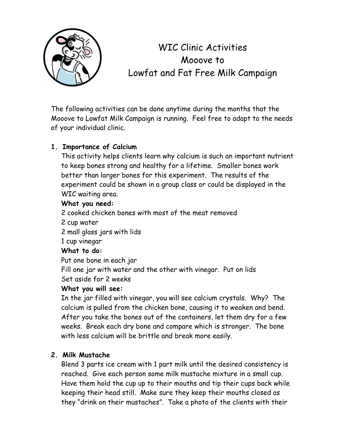

# WIC Clinic Activities Mooove to Lowfat and Fat Free Milk Campaign

The following activities can be done anytime during the months that the Mooove to Lowfat Milk Campaign is running. Feel free to adapt to the needs of your individual clinic.

## **1. Importance of Calcium**

This activity helps clients learn why calcium is such an important nutrient to keep bones strong and healthy for a lifetime. Smaller bones work better than larger bones for this experiment. The results of the experiment could be shown in a group class or could be displayed in the WIC waiting area.

## **What you need:**

2 cooked chicken bones with most of the meat removed

- 2 cup water
- 2 mall glass jars with lids

1 cup vinegar

## **What to do:**

Put one bone in each jar

Fill one jar with water and the other with vinegar. Put on lids Set aside for 2 weeks

## **What you will see:**

In the jar filled with vinegar, you will see calcium crystals. Why? The calcium is pulled from the chicken bone, causing it to weaken and bend. After you take the bones out of the containers, let them dry for a few weeks. Break each dry bone and compare which is stronger. The bone with less calcium will be brittle and break more easily.

## **2. Milk Mustache**

Blend 3 parts ice cream with 1 part milk until the desired consistency is reached. Give each person some milk mustache mixture in a small cup. Have them hold the cup up to their mouths and tip their cups back while keeping their head still. Make sure they keep their mouths closed as they "drink on their mustaches". Take a photo of the clients with their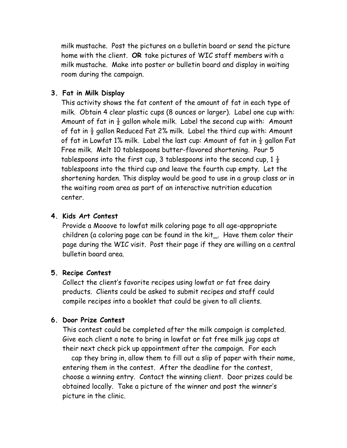milk mustache. Post the pictures on a bulletin board or send the picture home with the client. **OR** take pictures of WIC staff members with a milk mustache. Make into poster or bulletin board and display in waiting room during the campaign.

#### **3. Fat in Milk Display**

This activity shows the fat content of the amount of fat in each type of milk. Obtain 4 clear plastic cups (8 ounces or larger). Label one cup with: Amount of fat in  $\frac{1}{2}$  gallon whole milk. Label the second cup with: Amount of fat in  $\frac{1}{2}$  gallon Reduced Fat 2% milk. Label the third cup with: Amount of fat in Lowfat 1% milk. Label the last cup: Amount of fat in  $\frac{1}{2}$  gallon Fat Free milk. Melt 10 tablespoons butter-flavored shortening. Pour 5 tablespoons into the first cup, 3 tablespoons into the second cup,  $1\frac{1}{2}$ tablespoons into the third cup and leave the fourth cup empty. Let the shortening harden. This display would be good to use in a group class or in the waiting room area as part of an interactive nutrition education center.

#### **4. Kids Art Contest**

Provide a Mooove to lowfat milk coloring page to all age-appropriate children (a coloring page can be found in the kit\_. Have them color their page during the WIC visit. Post their page if they are willing on a central bulletin board area.

#### **5. Recipe Contest**

Collect the client's favorite recipes using lowfat or fat free dairy products. Clients could be asked to submit recipes and staff could compile recipes into a booklet that could be given to all clients.

#### **6. Door Prize Contest**

This contest could be completed after the milk campaign is completed. Give each client a note to bring in lowfat or fat free milk jug caps at their next check pick up appointment after the campaign. For each

 cap they bring in, allow them to fill out a slip of paper with their name, entering them in the contest. After the deadline for the contest, choose a winning entry. Contact the winning client. Door prizes could be obtained locally. Take a picture of the winner and post the winner's picture in the clinic.